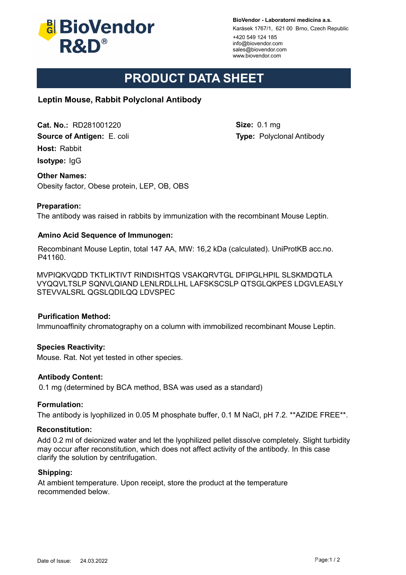

**BioVendor - Laboratorní medicína a.s.**

Karásek 1767/1, 621 00 Brno, Czech Republic

+420 549 124 185 info@biovendor.com sales@biovendor.com www.biovendor.com

**Size:** 0.1 mg

**Type:** Polyclonal Antibody

# **PRODUCT DATA SHEET**

## **Leptin Mouse, Rabbit Polyclonal Antibody**

**Cat. No.:** RD281001220

**Source of Antigen:** E. coli

**Host:** Rabbit

**Isotype:** IgG

## **Other Names:**

Obesity factor, Obese protein, LEP, OB, OBS

## **Preparation:**

The antibody was raised in rabbits by immunization with the recombinant Mouse Leptin.

## **Amino Acid Sequence of Immunogen:**

Recombinant Mouse Leptin, total 147 AA, MW: 16,2 kDa (calculated). UniProtKB acc.no. P41160.

MVPIQKVQDD TKTLIKTIVT RINDISHTQS VSAKQRVTGL DFIPGLHPIL SLSKMDQTLA VYQQVLTSLP SQNVLQIAND LENLRDLLHL LAFSKSCSLP QTSGLQKPES LDGVLEASLY STEVVALSRL QGSLQDILQQ LDVSPEC

## **Purification Method:**

Immunoaffinity chromatography on a column with immobilized recombinant Mouse Leptin.

## **Species Reactivity:**

Mouse. Rat. Not yet tested in other species.

#### **Antibody Content:**

0.1 mg (determined by BCA method, BSA was used as a standard)

#### **Formulation:**

The antibody is lyophilized in 0.05 M phosphate buffer, 0.1 M NaCl, pH 7.2. \*\*AZIDE FREE\*\*.

#### **Reconstitution:**

Add 0.2 ml of deionized water and let the lyophilized pellet dissolve completely. Slight turbidity may occur after reconstitution, which does not affect activity of the antibody. In this case clarify the solution by centrifugation.

#### **Shipping:**

At ambient temperature. Upon receipt, store the product at the temperature recommended below.